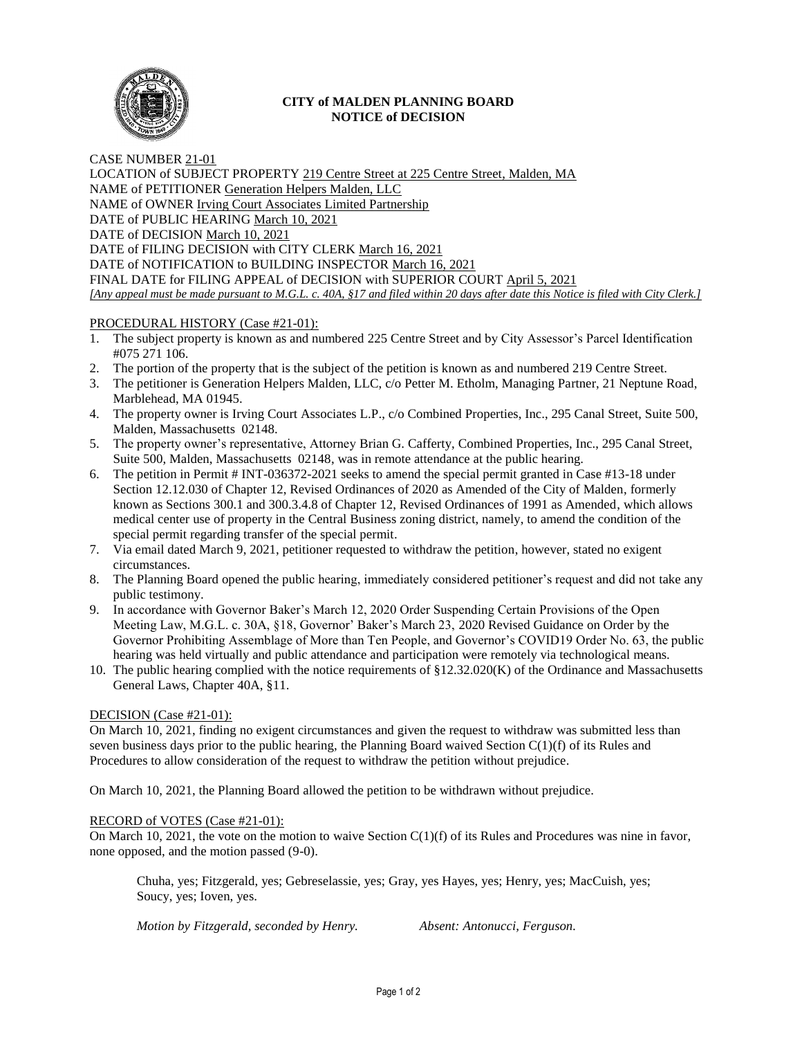

## **CITY of MALDEN PLANNING BOARD NOTICE of DECISION**

CASE NUMBER 21-01 LOCATION of SUBJECT PROPERTY 219 Centre Street at 225 Centre Street, Malden, MA NAME of PETITIONER Generation Helpers Malden, LLC NAME of OWNER Irving Court Associates Limited Partnership DATE of PUBLIC HEARING March 10, 2021 DATE of DECISION March 10, 2021 DATE of FILING DECISION with CITY CLERK March 16, 2021 DATE of NOTIFICATION to BUILDING INSPECTOR March 16, 2021 FINAL DATE for FILING APPEAL of DECISION with SUPERIOR COURT April 5, 2021 *[Any appeal must be made pursuant to M.G.L. c. 40A, §17 and filed within 20 days after date this Notice is filed with City Clerk.]* 

## PROCEDURAL HISTORY (Case #21-01):

- 1. The subject property is known as and numbered 225 Centre Street and by City Assessor's Parcel Identification #075 271 106.
- 2. The portion of the property that is the subject of the petition is known as and numbered 219 Centre Street.
- 3. The petitioner is Generation Helpers Malden, LLC, c/o Petter M. Etholm, Managing Partner, 21 Neptune Road, Marblehead, MA 01945.
- 4. The property owner is Irving Court Associates L.P., c/o Combined Properties, Inc., 295 Canal Street, Suite 500, Malden, Massachusetts 02148.
- 5. The property owner's representative, Attorney Brian G. Cafferty, Combined Properties, Inc., 295 Canal Street, Suite 500, Malden, Massachusetts 02148, was in remote attendance at the public hearing.
- 6. The petition in Permit # INT-036372-2021 seeks to amend the special permit granted in Case #13-18 under Section 12.12.030 of Chapter 12, Revised Ordinances of 2020 as Amended of the City of Malden, formerly known as Sections 300.1 and 300.3.4.8 of Chapter 12, Revised Ordinances of 1991 as Amended, which allows medical center use of property in the Central Business zoning district, namely, to amend the condition of the special permit regarding transfer of the special permit.
- 7. Via email dated March 9, 2021, petitioner requested to withdraw the petition, however, stated no exigent circumstances.
- 8. The Planning Board opened the public hearing, immediately considered petitioner's request and did not take any public testimony.
- 9. In accordance with Governor Baker's March 12, 2020 Order Suspending Certain Provisions of the Open Meeting Law, M.G.L. c. 30A, §18, Governor' Baker's March 23, 2020 Revised Guidance on Order by the Governor Prohibiting Assemblage of More than Ten People, and Governor's COVID19 Order No. 63, the public hearing was held virtually and public attendance and participation were remotely via technological means.
- 10. The public hearing complied with the notice requirements of §12.32.020(K) of the Ordinance and Massachusetts General Laws, Chapter 40A, §11.

## DECISION (Case #21-01):

On March 10, 2021, finding no exigent circumstances and given the request to withdraw was submitted less than seven business days prior to the public hearing, the Planning Board waived Section  $C(1)(f)$  of its Rules and Procedures to allow consideration of the request to withdraw the petition without prejudice.

On March 10, 2021, the Planning Board allowed the petition to be withdrawn without prejudice.

## RECORD of VOTES (Case #21-01):

On March 10, 2021, the vote on the motion to waive Section C(1)(f) of its Rules and Procedures was nine in favor, none opposed, and the motion passed (9-0).

Chuha, yes; Fitzgerald, yes; Gebreselassie, yes; Gray, yes Hayes, yes; Henry, yes; MacCuish, yes; Soucy, yes; Ioven, yes.

*Motion by Fitzgerald, seconded by Henry. Absent: Antonucci, Ferguson.*